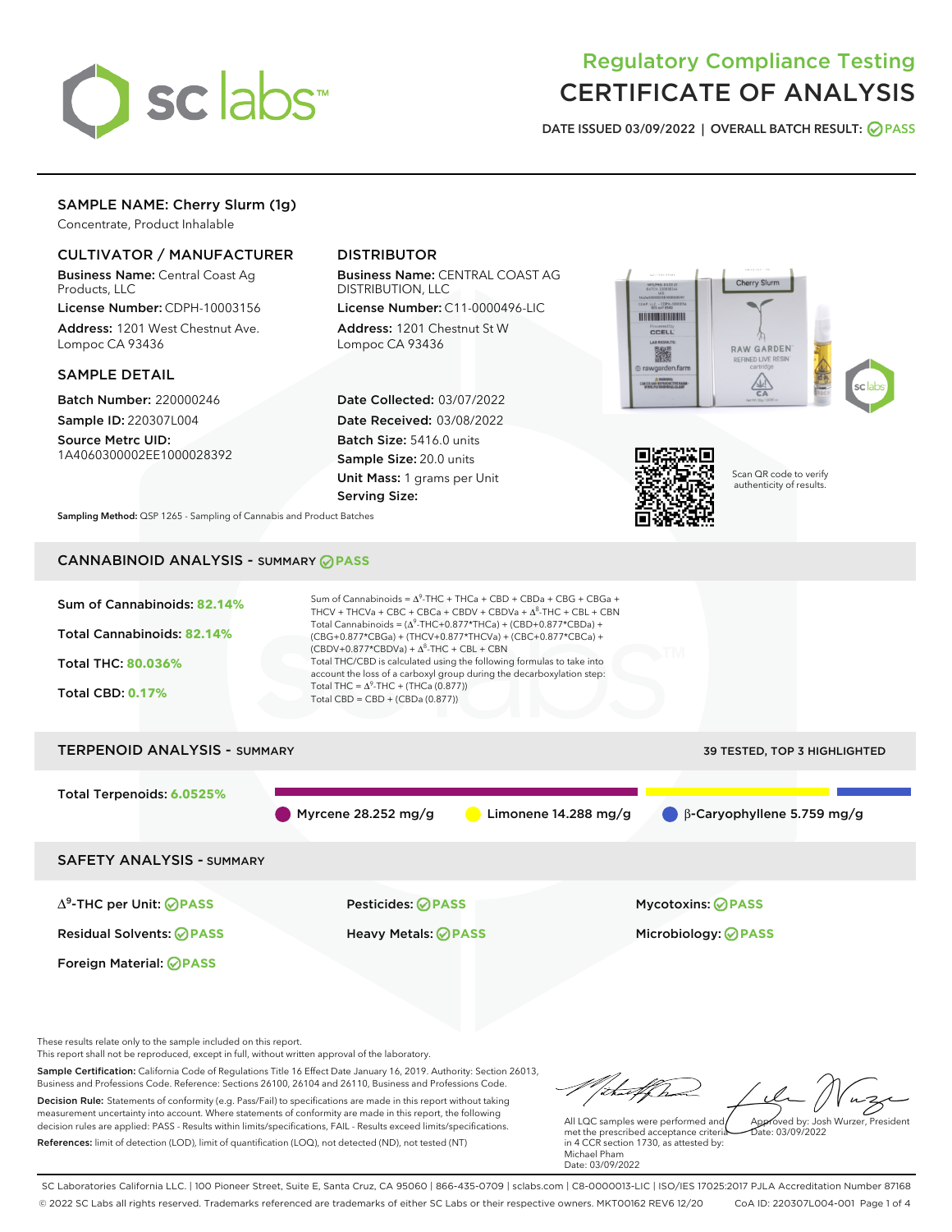

# Regulatory Compliance Testing CERTIFICATE OF ANALYSIS

DATE ISSUED 03/09/2022 | OVERALL BATCH RESULT: @ PASS

# SAMPLE NAME: Cherry Slurm (1g)

Concentrate, Product Inhalable

### CULTIVATOR / MANUFACTURER

Business Name: Central Coast Ag Products, LLC

License Number: CDPH-10003156 Address: 1201 West Chestnut Ave. Lompoc CA 93436

#### SAMPLE DETAIL

Batch Number: 220000246 Sample ID: 220307L004

Source Metrc UID: 1A4060300002EE1000028392

# DISTRIBUTOR

Business Name: CENTRAL COAST AG DISTRIBUTION, LLC

License Number: C11-0000496-LIC Address: 1201 Chestnut St W Lompoc CA 93436

Date Collected: 03/07/2022 Date Received: 03/08/2022 Batch Size: 5416.0 units Sample Size: 20.0 units Unit Mass: 1 grams per Unit Serving Size:





Scan QR code to verify authenticity of results.

Sampling Method: QSP 1265 - Sampling of Cannabis and Product Batches

# CANNABINOID ANALYSIS - SUMMARY **PASS**



This report shall not be reproduced, except in full, without written approval of the laboratory.

Sample Certification: California Code of Regulations Title 16 Effect Date January 16, 2019. Authority: Section 26013, Business and Professions Code. Reference: Sections 26100, 26104 and 26110, Business and Professions Code. Decision Rule: Statements of conformity (e.g. Pass/Fail) to specifications are made in this report without taking measurement uncertainty into account. Where statements of conformity are made in this report, the following decision rules are applied: PASS - Results within limits/specifications, FAIL - Results exceed limits/specifications.

References: limit of detection (LOD), limit of quantification (LOQ), not detected (ND), not tested (NT)

that forma Approved by: Josh Wurzer, President

 $ate: 03/09/2022$ 

All LQC samples were performed and met the prescribed acceptance criteria in 4 CCR section 1730, as attested by: Michael Pham Date: 03/09/2022

SC Laboratories California LLC. | 100 Pioneer Street, Suite E, Santa Cruz, CA 95060 | 866-435-0709 | sclabs.com | C8-0000013-LIC | ISO/IES 17025:2017 PJLA Accreditation Number 87168 © 2022 SC Labs all rights reserved. Trademarks referenced are trademarks of either SC Labs or their respective owners. MKT00162 REV6 12/20 CoA ID: 220307L004-001 Page 1 of 4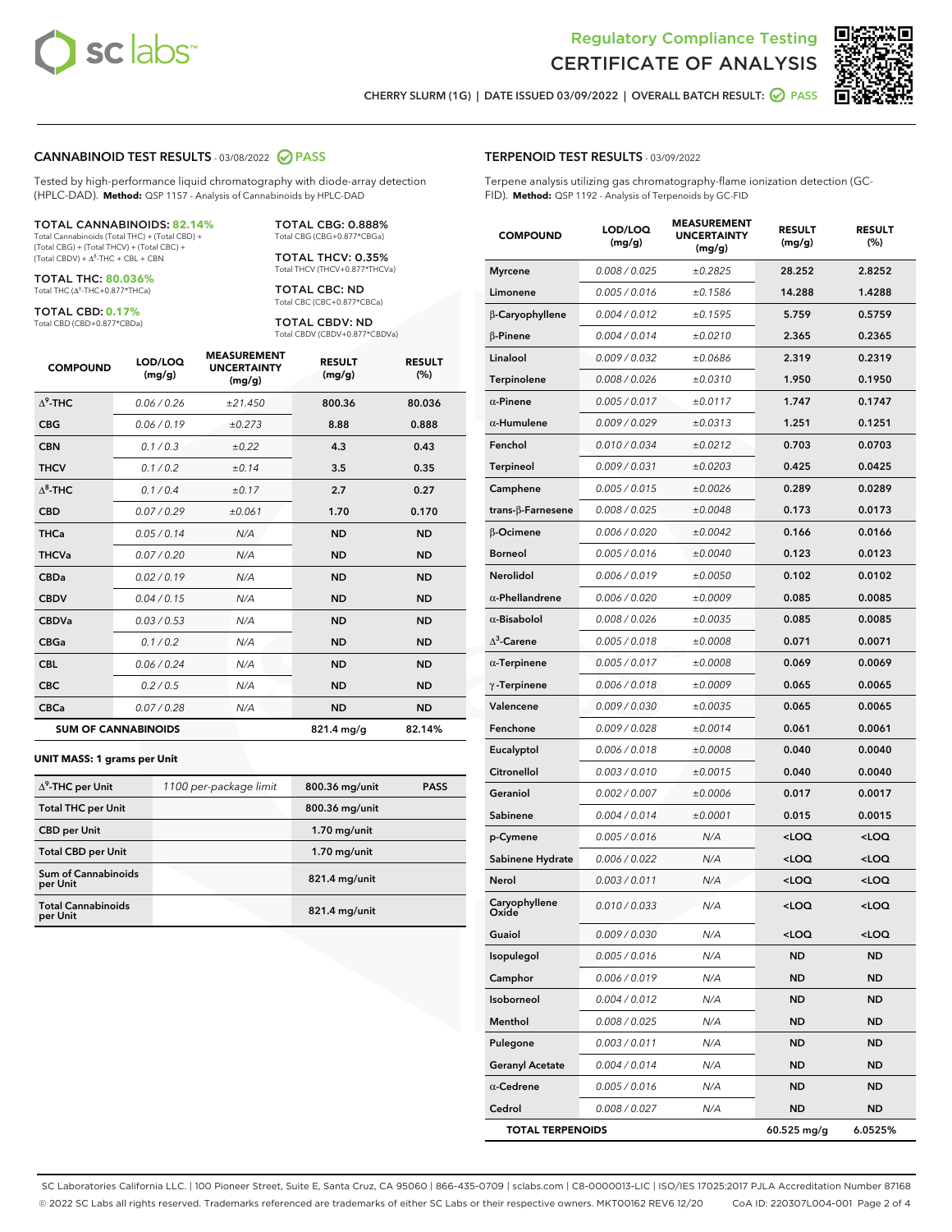



CHERRY SLURM (1G) | DATE ISSUED 03/09/2022 | OVERALL BATCH RESULT: @ PASS

#### CANNABINOID TEST RESULTS - 03/08/2022 2 PASS

Tested by high-performance liquid chromatography with diode-array detection (HPLC-DAD). **Method:** QSP 1157 - Analysis of Cannabinoids by HPLC-DAD

#### TOTAL CANNABINOIDS: **82.14%**

Total Cannabinoids (Total THC) + (Total CBD) + (Total CBG) + (Total THCV) + (Total CBC) +  $(Total CBDV) +  $\Delta^8$ -THC + CBL + CBN$ 

TOTAL THC: **80.036%** Total THC (Δ<sup>9</sup>-THC+0.877\*THCa)

TOTAL CBD: **0.17%**

Total CBD (CBD+0.877\*CBDa)

TOTAL CBG: 0.888% Total CBG (CBG+0.877\*CBGa)

TOTAL THCV: 0.35% Total THCV (THCV+0.877\*THCVa)

TOTAL CBC: ND Total CBC (CBC+0.877\*CBCa)

TOTAL CBDV: ND Total CBDV (CBDV+0.877\*CBDVa)

| <b>COMPOUND</b>            | LOD/LOQ<br>(mg/g) | <b>MEASUREMENT</b><br><b>UNCERTAINTY</b><br>(mg/g) | <b>RESULT</b><br>(mg/g) | <b>RESULT</b><br>(%) |
|----------------------------|-------------------|----------------------------------------------------|-------------------------|----------------------|
| $\Lambda^9$ -THC           | 0.06 / 0.26       | ±21.450                                            | 800.36                  | 80.036               |
| <b>CBG</b>                 | 0.06 / 0.19       | ±0.273                                             | 8.88                    | 0.888                |
| <b>CBN</b>                 | 0.1 / 0.3         | ±0.22                                              | 4.3                     | 0.43                 |
| <b>THCV</b>                | 0.1/0.2           | ±0.14                                              | 3.5                     | 0.35                 |
| $\Delta^8$ -THC            | 0.1/0.4           | ±0.17                                              | 2.7                     | 0.27                 |
| <b>CBD</b>                 | 0.07/0.29         | ±0.061                                             | 1.70                    | 0.170                |
| <b>THCa</b>                | 0.05/0.14         | N/A                                                | <b>ND</b>               | <b>ND</b>            |
| <b>THCVa</b>               | 0.07/0.20         | N/A                                                | <b>ND</b>               | <b>ND</b>            |
| <b>CBDa</b>                | 0.02/0.19         | N/A                                                | <b>ND</b>               | <b>ND</b>            |
| <b>CBDV</b>                | 0.04/0.15         | N/A                                                | <b>ND</b>               | <b>ND</b>            |
| <b>CBDVa</b>               | 0.03/0.53         | N/A                                                | <b>ND</b>               | <b>ND</b>            |
| <b>CBGa</b>                | 0.1 / 0.2         | N/A                                                | <b>ND</b>               | <b>ND</b>            |
| <b>CBL</b>                 | 0.06 / 0.24       | N/A                                                | <b>ND</b>               | <b>ND</b>            |
| <b>CBC</b>                 | 0.2 / 0.5         | N/A                                                | <b>ND</b>               | <b>ND</b>            |
| <b>CBCa</b>                | 0.07/0.28         | N/A                                                | <b>ND</b>               | <b>ND</b>            |
| <b>SUM OF CANNABINOIDS</b> |                   |                                                    | 821.4 mg/g              | 82.14%               |

#### **UNIT MASS: 1 grams per Unit**

| $\Delta^9$ -THC per Unit               | 1100 per-package limit | 800.36 mg/unit  | <b>PASS</b> |
|----------------------------------------|------------------------|-----------------|-------------|
| <b>Total THC per Unit</b>              |                        | 800.36 mg/unit  |             |
| <b>CBD</b> per Unit                    |                        | $1.70$ mg/unit  |             |
| <b>Total CBD per Unit</b>              |                        | $1.70$ mg/unit  |             |
| <b>Sum of Cannabinoids</b><br>per Unit |                        | 821.4 mg/unit   |             |
| <b>Total Cannabinoids</b><br>per Unit  |                        | $821.4$ mg/unit |             |

# COMPOUND LOD/LOQ (mg/g) MEASUREMENT UNCERTAINTY (mg/g) RESULT (mg/g) RESULT (%) Myrcene 0.008 / 0.025  $\pm 0.2825$  28.252 2.8252 Limonene 0.005 / 0.016 ± 0.1586 14.288 1.4288 β-Caryophyllene 0.004 / 0.012 ± 0.1595 5.759 0.5759  $β-Pinene$   $0.004 / 0.014$   $± 0.0210$  2.365 0.2365 Linalool 0.009/0.032  $\pm 0.0686$  2.319 0.2319 Terpinolene 0.008 / 0.026 ± 0.0310 1.950 0.1950 α-Pinene  $0.005 / 0.017$   $\pm 0.0117$  1.747 0.1747 α-Humulene  $0.009 / 0.029$   $± 0.0313$  1.251 0.1251 Fenchol 0.010 / 0.034 ± 0.0212 0.703 0.0703 Terpineol 0.009 / 0.031 ± 0.0203 0.425 0.0425 Camphene 0.005 / 0.015 ± 0.0026 0.289 0.0289 trans-β-Farnesene 0.008 / 0.025  $\pm$  0.0048 0.173 0.0173 β-Ocimene  $0.006$  /  $0.020$   $\pm 0.0042$  0.166 0.0166 Borneol 0.005/0.016 ±0.0040 0.123 0.0123 Nerolidol 0.006/0.019 ±0.0050 0.102 0.0102 α-Phellandrene 0.006 / 0.020 ± 0.0009 0.085 0.0085 α-Bisabolol  $0.008 / 0.026$   $± 0.0035$  0.085 0.0085  $\Delta^3$  $-0.005 / 0.018$   $\pm 0.0008$  0.071 0.0071 α-Terpinene  $0.005 / 0.017$   $± 0.0008$  0.069 0.0069  $γ$ -Terpinene  $0.006 / 0.018$   $± 0.0009$  0.065 0.0065 Valencene 0.009 / 0.030 ± 0.0035 0.065 0.0065 **Fenchone** 0.009/0.028  $\pm 0.0014$  0.061 0.0061 Eucalyptol 0.006/0.018 ±0.0008 0.040 0.0040  $Citronellol$  0.003/0.010  $\pm 0.0015$  0.040 0.0040 Geraniol 0.002 / 0.007  $\pm 0.0006$  0.017 0.0017 Sabinene  $0.004 / 0.014$   $\pm 0.0001$  0.015 0.0015 p-Cymene 0.005 / 0.016 N/A <LOQ <LOQ Sabinene Hydrate  $0.006 / 0.022$   $N/A$  <LOQ <LOQ Nerol 0.003 / 0.011 N/A <LOQ <LOQ Caryophyllene Oxide 0.010 / 0.033 N/A <LOQ <LOQ Guaiol  $0.009 / 0.030$   $N/A$  <LOQ  $\leq$ LOQ Isopulegol 0.005 / 0.016 N/A ND ND Camphor 0.006 / 0.019 N/A ND ND Isoborneol 0.004 / 0.012 N/A ND ND Menthol 0.008/0.025 N/A ND ND Pulegone 0.003/0.011 N/A ND ND Geranyl Acetate  $0.004 / 0.014$  N/A ND ND α-**Cedrene** 0.005/0.016 N/A ND ND

Cedrol 0.008 / 0.027 N/A ND ND TOTAL TERPENOIDS 60.525 mg/g 6.0525%

SC Laboratories California LLC. | 100 Pioneer Street, Suite E, Santa Cruz, CA 95060 | 866-435-0709 | sclabs.com | C8-0000013-LIC | ISO/IES 17025:2017 PJLA Accreditation Number 87168 © 2022 SC Labs all rights reserved. Trademarks referenced are trademarks of either SC Labs or their respective owners. MKT00162 REV6 12/20 CoA ID: 220307L004-001 Page 2 of 4

#### TERPENOID TEST RESULTS - 03/09/2022

Terpene analysis utilizing gas chromatography-flame ionization detection (GC-FID). **Method:** QSP 1192 - Analysis of Terpenoids by GC-FID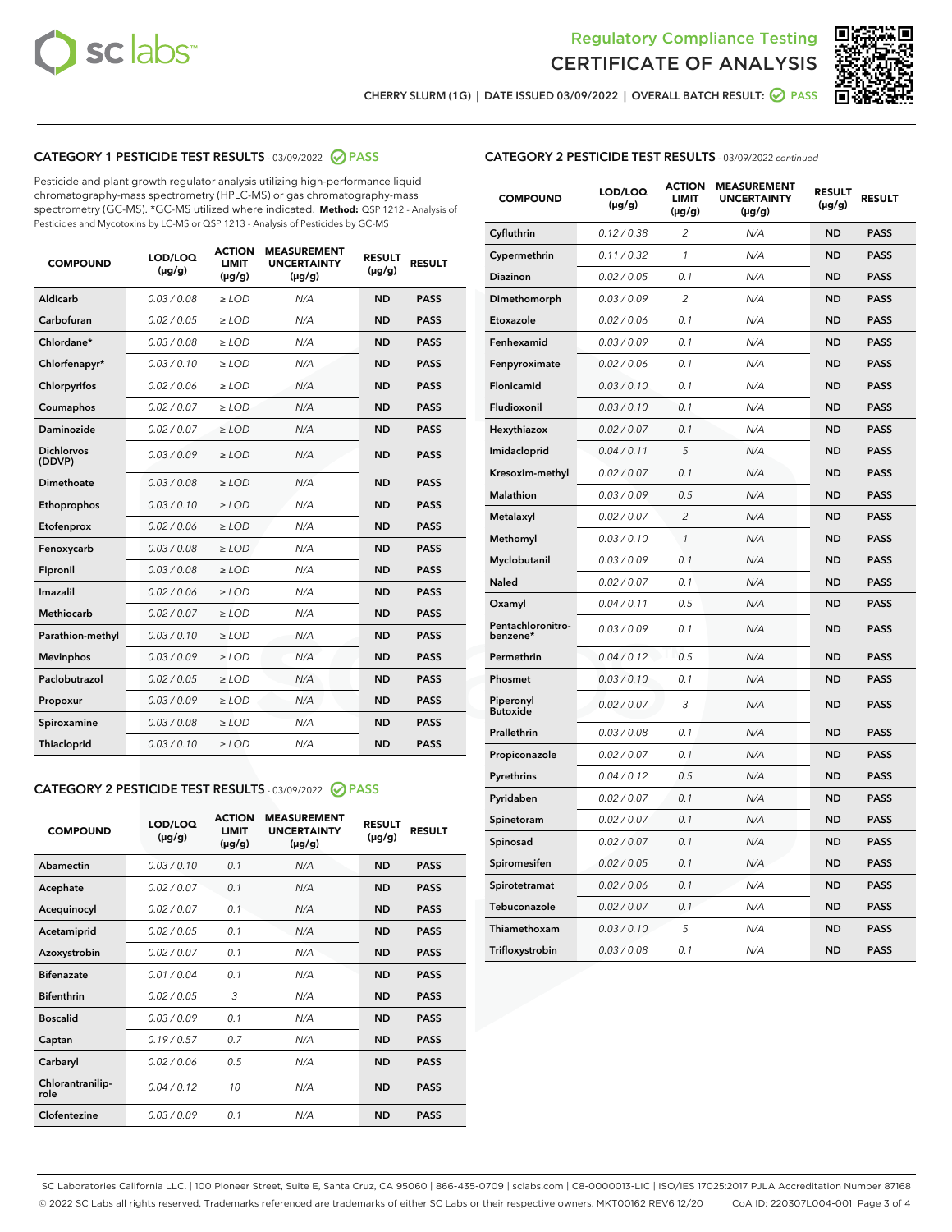



CHERRY SLURM (1G) | DATE ISSUED 03/09/2022 | OVERALL BATCH RESULT: O PASS

## CATEGORY 1 PESTICIDE TEST RESULTS - 03/09/2022 2 PASS

Pesticide and plant growth regulator analysis utilizing high-performance liquid chromatography-mass spectrometry (HPLC-MS) or gas chromatography-mass spectrometry (GC-MS). \*GC-MS utilized where indicated. **Method:** QSP 1212 - Analysis of Pesticides and Mycotoxins by LC-MS or QSP 1213 - Analysis of Pesticides by GC-MS

| <b>COMPOUND</b>             | LOD/LOQ<br>$(\mu g/g)$ | <b>ACTION</b><br><b>LIMIT</b><br>$(\mu g/g)$ | <b>MEASUREMENT</b><br><b>UNCERTAINTY</b><br>$(\mu g/g)$ | <b>RESULT</b><br>$(\mu g/g)$ | <b>RESULT</b> |
|-----------------------------|------------------------|----------------------------------------------|---------------------------------------------------------|------------------------------|---------------|
| Aldicarb                    | 0.03 / 0.08            | $\ge$ LOD                                    | N/A                                                     | <b>ND</b>                    | <b>PASS</b>   |
| Carbofuran                  | 0.02 / 0.05            | $>$ LOD                                      | N/A                                                     | <b>ND</b>                    | <b>PASS</b>   |
| Chlordane*                  | 0.03 / 0.08            | $\ge$ LOD                                    | N/A                                                     | <b>ND</b>                    | <b>PASS</b>   |
| Chlorfenapyr*               | 0.03/0.10              | $\ge$ LOD                                    | N/A                                                     | <b>ND</b>                    | <b>PASS</b>   |
| Chlorpyrifos                | 0.02/0.06              | $>$ LOD                                      | N/A                                                     | <b>ND</b>                    | <b>PASS</b>   |
| Coumaphos                   | 0.02 / 0.07            | $\ge$ LOD                                    | N/A                                                     | <b>ND</b>                    | <b>PASS</b>   |
| Daminozide                  | 0.02 / 0.07            | $\ge$ LOD                                    | N/A                                                     | <b>ND</b>                    | <b>PASS</b>   |
| <b>Dichlorvos</b><br>(DDVP) | 0.03/0.09              | $\ge$ LOD                                    | N/A                                                     | <b>ND</b>                    | <b>PASS</b>   |
| Dimethoate                  | 0.03 / 0.08            | $>$ LOD                                      | N/A                                                     | <b>ND</b>                    | <b>PASS</b>   |
| Ethoprophos                 | 0.03/0.10              | $>$ LOD                                      | N/A                                                     | <b>ND</b>                    | <b>PASS</b>   |
| Etofenprox                  | 0.02 / 0.06            | $\ge$ LOD                                    | N/A                                                     | <b>ND</b>                    | <b>PASS</b>   |
| Fenoxycarb                  | 0.03 / 0.08            | $\ge$ LOD                                    | N/A                                                     | <b>ND</b>                    | <b>PASS</b>   |
| Fipronil                    | 0.03 / 0.08            | $\ge$ LOD                                    | N/A                                                     | <b>ND</b>                    | <b>PASS</b>   |
| Imazalil                    | 0.02 / 0.06            | $\ge$ LOD                                    | N/A                                                     | <b>ND</b>                    | <b>PASS</b>   |
| <b>Methiocarb</b>           | 0.02 / 0.07            | $\ge$ LOD                                    | N/A                                                     | <b>ND</b>                    | <b>PASS</b>   |
| Parathion-methyl            | 0.03/0.10              | $>$ LOD                                      | N/A                                                     | <b>ND</b>                    | <b>PASS</b>   |
| <b>Mevinphos</b>            | 0.03/0.09              | $\ge$ LOD                                    | N/A                                                     | <b>ND</b>                    | <b>PASS</b>   |
| Paclobutrazol               | 0.02 / 0.05            | $\ge$ LOD                                    | N/A                                                     | <b>ND</b>                    | <b>PASS</b>   |
| Propoxur                    | 0.03/0.09              | $>$ LOD                                      | N/A                                                     | <b>ND</b>                    | <b>PASS</b>   |
| Spiroxamine                 | 0.03 / 0.08            | $\ge$ LOD                                    | N/A                                                     | <b>ND</b>                    | <b>PASS</b>   |
| Thiacloprid                 | 0.03/0.10              | $\ge$ LOD                                    | N/A                                                     | <b>ND</b>                    | <b>PASS</b>   |
|                             |                        |                                              |                                                         |                              |               |

# CATEGORY 2 PESTICIDE TEST RESULTS - 03/09/2022 2 PASS

| <b>COMPOUND</b>          | LOD/LOO<br>$(\mu g/g)$ | <b>ACTION</b><br><b>LIMIT</b><br>$(\mu g/g)$ | <b>MEASUREMENT</b><br><b>UNCERTAINTY</b><br>$(\mu g/g)$ | <b>RESULT</b><br>$(\mu g/g)$ | <b>RESULT</b> |
|--------------------------|------------------------|----------------------------------------------|---------------------------------------------------------|------------------------------|---------------|
| Abamectin                | 0.03/0.10              | 0.1                                          | N/A                                                     | <b>ND</b>                    | <b>PASS</b>   |
| Acephate                 | 0.02 / 0.07            | 0.1                                          | N/A                                                     | <b>ND</b>                    | <b>PASS</b>   |
| Acequinocyl              | 0.02/0.07              | 0.1                                          | N/A                                                     | <b>ND</b>                    | <b>PASS</b>   |
| Acetamiprid              | 0.02/0.05              | 0.1                                          | N/A                                                     | <b>ND</b>                    | <b>PASS</b>   |
| Azoxystrobin             | 0.02 / 0.07            | 0.1                                          | N/A                                                     | <b>ND</b>                    | <b>PASS</b>   |
| <b>Bifenazate</b>        | 0.01/0.04              | 0.1                                          | N/A                                                     | <b>ND</b>                    | <b>PASS</b>   |
| <b>Bifenthrin</b>        | 0.02/0.05              | 3                                            | N/A                                                     | <b>ND</b>                    | <b>PASS</b>   |
| <b>Boscalid</b>          | 0.03/0.09              | 0.1                                          | N/A                                                     | <b>ND</b>                    | <b>PASS</b>   |
| Captan                   | 0.19/0.57              | 0.7                                          | N/A                                                     | <b>ND</b>                    | <b>PASS</b>   |
| Carbaryl                 | 0.02/0.06              | 0.5                                          | N/A                                                     | <b>ND</b>                    | <b>PASS</b>   |
| Chlorantranilip-<br>role | 0.04/0.12              | 10                                           | N/A                                                     | <b>ND</b>                    | <b>PASS</b>   |
| Clofentezine             | 0.03/0.09              | 0.1                                          | N/A                                                     | <b>ND</b>                    | <b>PASS</b>   |

#### CATEGORY 2 PESTICIDE TEST RESULTS - 03/09/2022 continued

| <b>COMPOUND</b>               | LOD/LOQ<br>$(\mu g/g)$ | <b>ACTION</b><br><b>LIMIT</b><br>(µg/g) | <b>MEASUREMENT</b><br><b>UNCERTAINTY</b><br>(µg/g) | <b>RESULT</b><br>$(\mu g/g)$ | <b>RESULT</b> |
|-------------------------------|------------------------|-----------------------------------------|----------------------------------------------------|------------------------------|---------------|
| Cyfluthrin                    | 0.12 / 0.38            | $\overline{c}$                          | N/A                                                | <b>ND</b>                    | <b>PASS</b>   |
| Cypermethrin                  | 0.11/0.32              | 1                                       | N/A                                                | <b>ND</b>                    | <b>PASS</b>   |
| Diazinon                      | 0.02 / 0.05            | 0.1                                     | N/A                                                | <b>ND</b>                    | <b>PASS</b>   |
| Dimethomorph                  | 0.03 / 0.09            | $\overline{2}$                          | N/A                                                | <b>ND</b>                    | <b>PASS</b>   |
| Etoxazole                     | 0.02 / 0.06            | 0.1                                     | N/A                                                | <b>ND</b>                    | <b>PASS</b>   |
| Fenhexamid                    | 0.03 / 0.09            | 0.1                                     | N/A                                                | <b>ND</b>                    | <b>PASS</b>   |
| Fenpyroximate                 | 0.02 / 0.06            | 0.1                                     | N/A                                                | <b>ND</b>                    | <b>PASS</b>   |
| Flonicamid                    | 0.03 / 0.10            | 0.1                                     | N/A                                                | <b>ND</b>                    | <b>PASS</b>   |
| Fludioxonil                   | 0.03 / 0.10            | 0.1                                     | N/A                                                | <b>ND</b>                    | <b>PASS</b>   |
| Hexythiazox                   | 0.02 / 0.07            | 0.1                                     | N/A                                                | <b>ND</b>                    | <b>PASS</b>   |
| Imidacloprid                  | 0.04 / 0.11            | 5                                       | N/A                                                | <b>ND</b>                    | <b>PASS</b>   |
| Kresoxim-methyl               | 0.02 / 0.07            | 0.1                                     | N/A                                                | <b>ND</b>                    | <b>PASS</b>   |
| Malathion                     | 0.03 / 0.09            | 0.5                                     | N/A                                                | <b>ND</b>                    | <b>PASS</b>   |
| Metalaxyl                     | 0.02 / 0.07            | $\overline{c}$                          | N/A                                                | <b>ND</b>                    | <b>PASS</b>   |
| Methomyl                      | 0.03 / 0.10            | 1                                       | N/A                                                | <b>ND</b>                    | <b>PASS</b>   |
| Myclobutanil                  | 0.03 / 0.09            | 0.1                                     | N/A                                                | <b>ND</b>                    | <b>PASS</b>   |
| Naled                         | 0.02 / 0.07            | 0.1                                     | N/A                                                | <b>ND</b>                    | <b>PASS</b>   |
| Oxamyl                        | 0.04 / 0.11            | 0.5                                     | N/A                                                | <b>ND</b>                    | <b>PASS</b>   |
| Pentachloronitro-<br>benzene* | 0.03 / 0.09            | 0.1                                     | N/A                                                | <b>ND</b>                    | <b>PASS</b>   |
| Permethrin                    | 0.04/0.12              | 0.5                                     | N/A                                                | <b>ND</b>                    | <b>PASS</b>   |
| Phosmet                       | 0.03 / 0.10            | 0.1                                     | N/A                                                | <b>ND</b>                    | <b>PASS</b>   |
| Piperonyl<br><b>Butoxide</b>  | 0.02 / 0.07            | 3                                       | N/A                                                | <b>ND</b>                    | <b>PASS</b>   |
| Prallethrin                   | 0.03 / 0.08            | 0.1                                     | N/A                                                | <b>ND</b>                    | <b>PASS</b>   |
| Propiconazole                 | 0.02 / 0.07            | 0.1                                     | N/A                                                | <b>ND</b>                    | <b>PASS</b>   |
| Pyrethrins                    | 0.04 / 0.12            | 0.5                                     | N/A                                                | <b>ND</b>                    | <b>PASS</b>   |
| Pyridaben                     | 0.02 / 0.07            | 0.1                                     | N/A                                                | <b>ND</b>                    | <b>PASS</b>   |
| Spinetoram                    | 0.02 / 0.07            | 0.1                                     | N/A                                                | <b>ND</b>                    | <b>PASS</b>   |
| Spinosad                      | 0.02 / 0.07            | 0.1                                     | N/A                                                | <b>ND</b>                    | <b>PASS</b>   |
| Spiromesifen                  | 0.02 / 0.05            | 0.1                                     | N/A                                                | ND                           | PASS          |
| Spirotetramat                 | 0.02 / 0.06            | 0.1                                     | N/A                                                | <b>ND</b>                    | <b>PASS</b>   |
| Tebuconazole                  | 0.02 / 0.07            | 0.1                                     | N/A                                                | <b>ND</b>                    | <b>PASS</b>   |
| Thiamethoxam                  | 0.03 / 0.10            | 5                                       | N/A                                                | <b>ND</b>                    | <b>PASS</b>   |
| Trifloxystrobin               | 0.03 / 0.08            | 0.1                                     | N/A                                                | <b>ND</b>                    | <b>PASS</b>   |

SC Laboratories California LLC. | 100 Pioneer Street, Suite E, Santa Cruz, CA 95060 | 866-435-0709 | sclabs.com | C8-0000013-LIC | ISO/IES 17025:2017 PJLA Accreditation Number 87168 © 2022 SC Labs all rights reserved. Trademarks referenced are trademarks of either SC Labs or their respective owners. MKT00162 REV6 12/20 CoA ID: 220307L004-001 Page 3 of 4